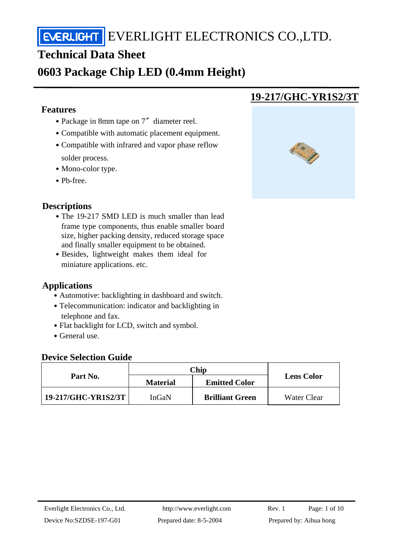## **Technical Data Sheet**

## **0603 Package Chip LED (0.4mm Height)**

#### **Features**

j

- Package in 8mm tape on 7″ diameter reel.
- ․Compatible with automatic placement equipment.
- Compatible with infrared and vapor phase reflow solder process.
- Mono-color type.
- Pb-free.

## **Descriptions**

- The 19-217 SMD LED is much smaller than lead frame type components, thus enable smaller board size, higher packing density, reduced storage space and finally smaller equipment to be obtained.
- Besides, lightweight makes them ideal for miniature applications. etc.

#### **Applications**

- Automotive: backlighting in dashboard and switch.
- Telecommunication: indicator and backlighting in telephone and fax.
- Flat backlight for LCD, switch and symbol.
- General use.

#### **Device Selection Guide**

| Part No.            | Chip            |                        |                   |
|---------------------|-----------------|------------------------|-------------------|
|                     | <b>Material</b> | <b>Emitted Color</b>   | <b>Lens Color</b> |
| 19-217/GHC-YR1S2/3T | InGaN           | <b>Brilliant Green</b> | Water Clear       |

## **19-217/GHC-YR1S2/3T**

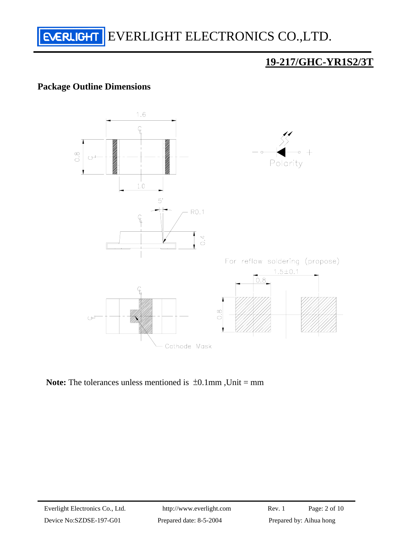

## **19-217/GHC-YR1S2/3T**

### **Package Outline Dimensions**



**Note:** The tolerances unless mentioned is  $\pm 0.1$ mm, Unit = mm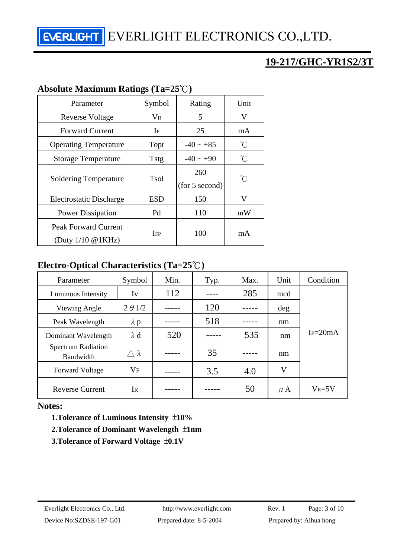## **19-217/GHC-YR1S2/3T**

### **Absolute Maximum Ratings (Ta=25**℃**)**

| Parameter                      | Symbol      | Rating         | Unit        |  |
|--------------------------------|-------------|----------------|-------------|--|
| <b>Reverse Voltage</b>         | $V_{R}$     | 5              | V           |  |
| <b>Forward Current</b>         | 25<br>If    |                | mA          |  |
| <b>Operating Temperature</b>   | Topr        | $-40 \sim +85$ | °C          |  |
| <b>Storage Temperature</b>     | <b>Tstg</b> | $-40 \sim +90$ | °C          |  |
| <b>Soldering Temperature</b>   | Tsol        | 260            | $^{\circ}C$ |  |
|                                |             | (for 5 second) |             |  |
| Electrostatic Discharge        | ESD         | 150            | V           |  |
| <b>Power Dissipation</b>       | Pd          | 110            | mW          |  |
| Peak Forward Current           |             |                |             |  |
| (Duty $1/10 \text{ @ } 1KHz$ ) | <b>IFP</b>  | 100            | mA          |  |

#### **Electro-Optical Characteristics (Ta=25**℃**)**

| Parameter                              | Symbol           | Min. | Typ. | Max. | Unit    | Condition  |
|----------------------------------------|------------------|------|------|------|---------|------------|
| Luminous Intensity                     | Iv               | 112  |      | 285  | mcd     |            |
| Viewing Angle                          | $2 \theta$ 1/2   |      | 120  |      | deg     |            |
| Peak Wavelength                        | $\lambda$ p      |      | 518  |      | nm      |            |
| Dominant Wavelength                    | $\lambda$ d      | 520  |      | 535  | nm      | $I = 20mA$ |
| <b>Spectrum Radiation</b><br>Bandwidth | $\wedge \lambda$ |      | 35   |      | nm      |            |
| <b>Forward Voltage</b>                 | <b>VF</b>        |      | 3.5  | 4.0  | V       |            |
| <b>Reverse Current</b>                 | IR               |      |      | 50   | $\mu$ A | $V_R = 5V$ |

#### **Notes:**

 **1.Tolerance of Luminous Intensity** ±**10%** 

#### **2.Tolerance of Dominant Wavelength** ±**1nm**

 **3.Tolerance of Forward Voltage** ±**0.1V**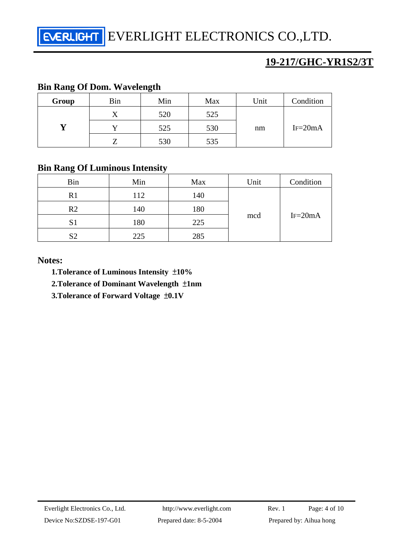**EVERLIGHT** EVERLIGHT ELECTRONICS CO., LTD.

## **19-217/GHC-YR1S2/3T**

#### **Bin Rang Of Dom. Wavelength**

| Group | Bin | Min | Max | Unit | Condition |
|-------|-----|-----|-----|------|-----------|
|       |     | 520 | 525 | nm   | $IF=20mA$ |
|       |     | 525 | 530 |      |           |
|       |     | 530 | 535 |      |           |

## **Bin Rang Of Luminous Intensity**

| <b>Bin</b>     | Min | Max | Unit | Condition   |
|----------------|-----|-----|------|-------------|
| R <sub>1</sub> | 112 | 140 | mcd  | $IF = 20mA$ |
| R <sub>2</sub> | 140 | 180 |      |             |
| S <sub>1</sub> | 180 | 225 |      |             |
| S <sub>2</sub> | 225 | 285 |      |             |

#### **Notes:**

 **1.Tolerance of Luminous Intensity** ±**10%** 

 **2.Tolerance of Dominant Wavelength** ±**1nm** 

 **3.Tolerance of Forward Voltage** ±**0.1V**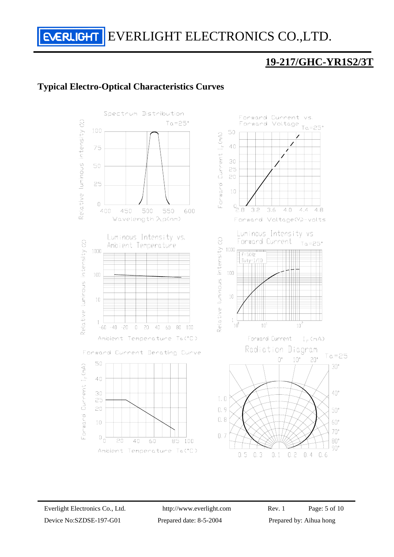## **19-217/GHC-YR1S2/3T**

#### **Typical Electro-Optical Characteristics Curves**

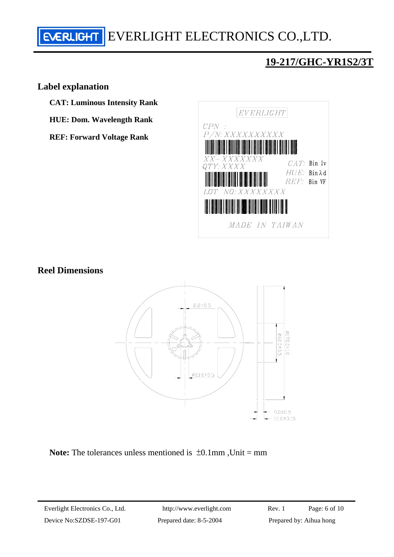# **EVERLIGHT** EVERLIGHT ELECTRONICS CO., LTD.

## **19-217/GHC-YR1S2/3T**

#### **Label explanation**

**CAT: Luminous Intensity Rank** 

**HUE: Dom. Wavelength Rank** 

**REF: Forward Voltage Rank** 



#### **Reel Dimensions**



**Note:** The tolerances unless mentioned is  $\pm 0.1$ mm, Unit = mm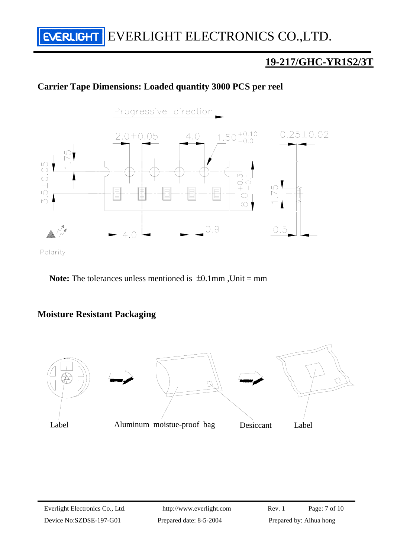## **19-217/GHC-YR1S2/3T**

#### **Carrier Tape Dimensions: Loaded quantity 3000 PCS per reel**



Note: The tolerances unless mentioned is  $\pm 0.1$ mm, Unit = mm

#### **Moisture Resistant Packaging**

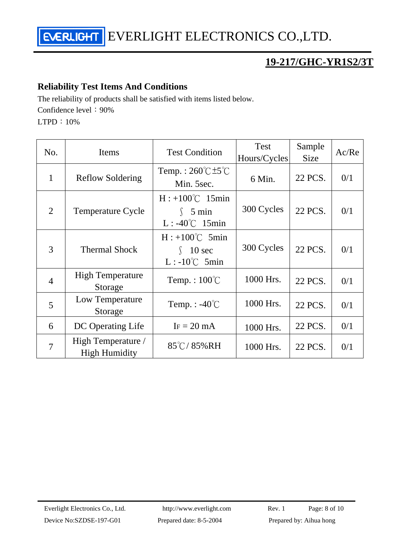## **19-217/GHC-YR1S2/3T**

#### **Reliability Test Items And Conditions**

The reliability of products shall be satisfied with items listed below.

Confidence level: 90%

LTPD:10%

| No.            | Items                                      | <b>Test Condition</b>                                                 | <b>Test</b><br>Hours/Cycles | Sample<br><b>Size</b> | Ac/Re |
|----------------|--------------------------------------------|-----------------------------------------------------------------------|-----------------------------|-----------------------|-------|
| $\mathbf{1}$   | <b>Reflow Soldering</b>                    | Temp.: $260^{\circ}$ C $\pm 5^{\circ}$ C<br>Min. 5sec.                | 6 Min.                      | 22 PCS.               | 0/1   |
| $\overline{2}$ | <b>Temperature Cycle</b>                   | $H: +100^{\circ}C$ 15min<br>$\int$ 5 min<br>$L: -40^{\circ}C$ 15min   | 300 Cycles                  | 22 PCS.               | 0/1   |
| 3              | <b>Thermal Shock</b>                       | $H: +100^{\circ}C$ 5min<br>$10 \text{ sec}$<br>$L: -10^{\circ}C$ 5min | 300 Cycles                  | 22 PCS.               | 0/1   |
| $\overline{4}$ | <b>High Temperature</b><br>Storage         | Temp.: $100^{\circ}$ C                                                | 1000 Hrs.                   | 22 PCS.               | 0/1   |
| 5              | Low Temperature<br>Storage                 | Temp. : $-40^{\circ}$ C                                               | 1000 Hrs.                   | 22 PCS.               | 0/1   |
| 6              | DC Operating Life                          | $IF = 20 mA$                                                          | 1000 Hrs.                   | 22 PCS.               | 0/1   |
| $\overline{7}$ | High Temperature /<br><b>High Humidity</b> | $85^{\circ}$ C/85%RH                                                  | 1000 Hrs.                   | 22 PCS.               | 0/1   |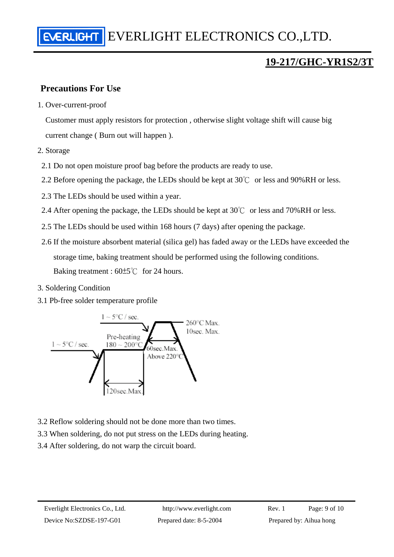## **19-217/GHC-YR1S2/3T**

### **Precautions For Use**

1. Over-current-proof

Customer must apply resistors for protection , otherwise slight voltage shift will cause big current change ( Burn out will happen ).

- 2. Storage
	- 2.1 Do not open moisture proof bag before the products are ready to use.
- 2.2 Before opening the package, the LEDs should be kept at  $30^{\circ}$  or less and 90%RH or less.
- 2.3 The LEDs should be used within a year.
- 2.4 After opening the package, the LEDs should be kept at  $30^{\circ}$  or less and  $70\%$  RH or less.
- 2.5 The LEDs should be used within 168 hours (7 days) after opening the package.
- 2.6 If the moisture absorbent material (silica gel) has faded away or the LEDs have exceeded the storage time, baking treatment should be performed using the following conditions. Baking treatment :  $60±5^{\circ}$  for 24 hours.
- 3. Soldering Condition
- 3.1 Pb-free solder temperature profile



- 3.2 Reflow soldering should not be done more than two times.
- 3.3 When soldering, do not put stress on the LEDs during heating.
- 3.4 After soldering, do not warp the circuit board.